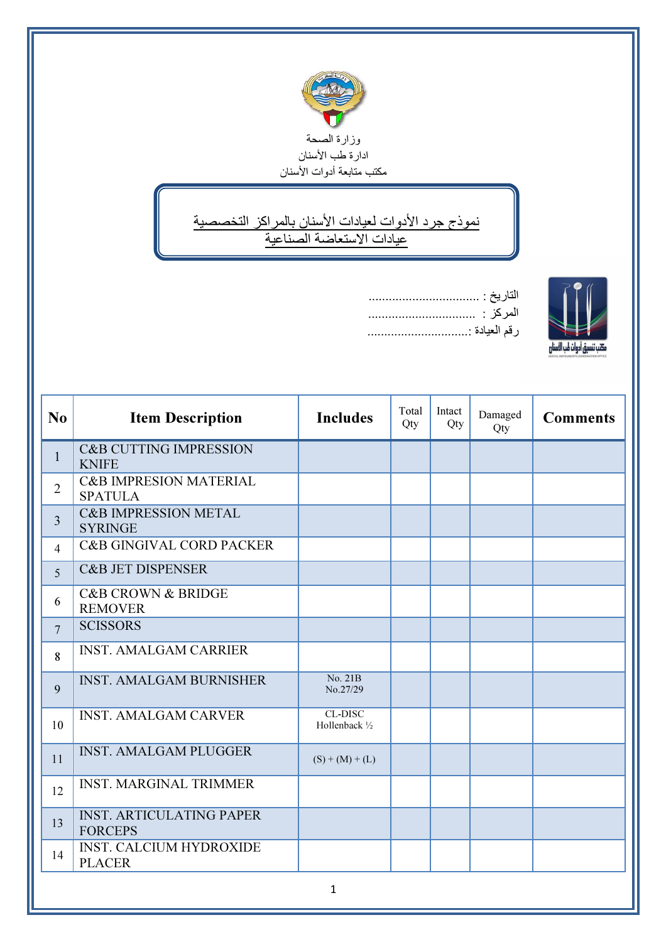

↘ نموذج جرد الأدوات لعيادات الأسنان بالمراكز التخصصية عيادات الاستعاضة الصناعية





| N <sub>o</sub>  | <b>Item Description</b>                             | <b>Includes</b>                  | Total<br>Qty | Intact<br>Qty | Damaged<br>Qty | <b>Comments</b> |
|-----------------|-----------------------------------------------------|----------------------------------|--------------|---------------|----------------|-----------------|
| $\mathbf{1}$    | <b>C&amp;B CUTTING IMPRESSION</b><br><b>KNIFE</b>   |                                  |              |               |                |                 |
| $\overline{2}$  | <b>C&amp;B IMPRESION MATERIAL</b><br><b>SPATULA</b> |                                  |              |               |                |                 |
| $\overline{3}$  | <b>C&amp;B IMPRESSION METAL</b><br><b>SYRINGE</b>   |                                  |              |               |                |                 |
| $\overline{4}$  | <b>C&amp;B GINGIVAL CORD PACKER</b>                 |                                  |              |               |                |                 |
| 5               | <b>C&amp;B JET DISPENSER</b>                        |                                  |              |               |                |                 |
| 6               | <b>C&amp;B CROWN &amp; BRIDGE</b><br><b>REMOVER</b> |                                  |              |               |                |                 |
| $7\phantom{.0}$ | <b>SCISSORS</b>                                     |                                  |              |               |                |                 |
| 8               | <b>INST. AMALGAM CARRIER</b>                        |                                  |              |               |                |                 |
| 9               | <b>INST. AMALGAM BURNISHER</b>                      | No. 21B<br>No.27/29              |              |               |                |                 |
| 10              | <b>INST. AMALGAM CARVER</b>                         | <b>CL-DISC</b><br>Hollenback 1/2 |              |               |                |                 |
| 11              | <b>INST. AMALGAM PLUGGER</b>                        | $(S) + (M) + (L)$                |              |               |                |                 |
| 12              | <b>INST. MARGINAL TRIMMER</b>                       |                                  |              |               |                |                 |
| 13              | <b>INST. ARTICULATING PAPER</b><br><b>FORCEPS</b>   |                                  |              |               |                |                 |
| 14              | <b>INST. CALCIUM HYDROXIDE</b><br><b>PLACER</b>     |                                  |              |               |                |                 |
|                 |                                                     |                                  |              |               |                |                 |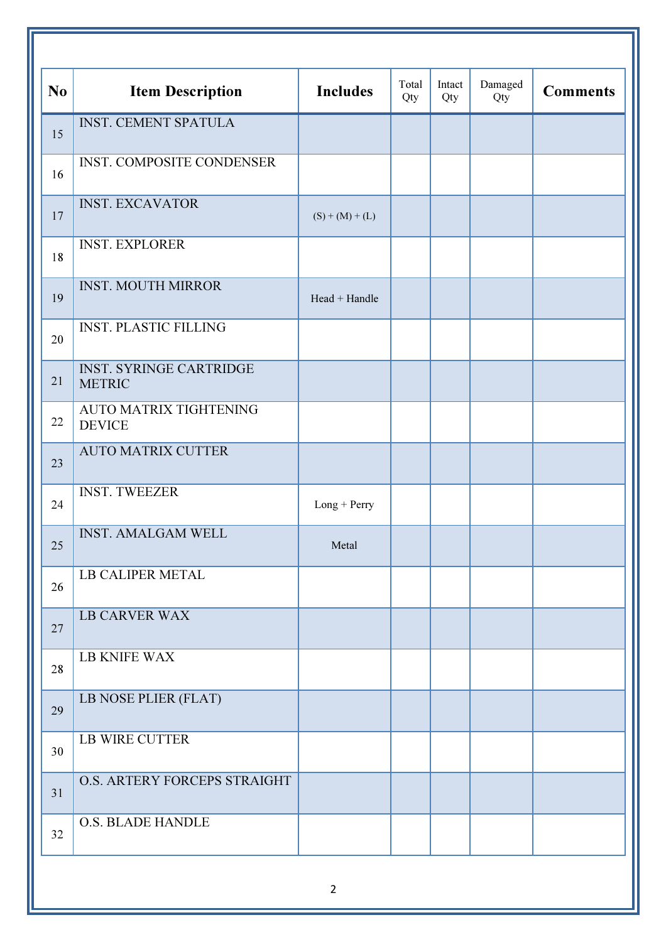|                |                                                 |                   | Total | Intact | Damaged |                 |
|----------------|-------------------------------------------------|-------------------|-------|--------|---------|-----------------|
| N <sub>o</sub> | <b>Item Description</b>                         | <b>Includes</b>   | Qty   | Qty    | Qty     | <b>Comments</b> |
| 15             | <b>INST. CEMENT SPATULA</b>                     |                   |       |        |         |                 |
| 16             | <b>INST. COMPOSITE CONDENSER</b>                |                   |       |        |         |                 |
| 17             | <b>INST. EXCAVATOR</b>                          | $(S) + (M) + (L)$ |       |        |         |                 |
| 18             | <b>INST. EXPLORER</b>                           |                   |       |        |         |                 |
| 19             | <b>INST. MOUTH MIRROR</b>                       | Head + Handle     |       |        |         |                 |
| 20             | <b>INST. PLASTIC FILLING</b>                    |                   |       |        |         |                 |
| 21             | <b>INST. SYRINGE CARTRIDGE</b><br><b>METRIC</b> |                   |       |        |         |                 |
| 22             | <b>AUTO MATRIX TIGHTENING</b><br><b>DEVICE</b>  |                   |       |        |         |                 |
| 23             | <b>AUTO MATRIX CUTTER</b>                       |                   |       |        |         |                 |
| 24             | <b>INST. TWEEZER</b>                            | Long + Perry      |       |        |         |                 |
| 25             | <b>INST. AMALGAM WELL</b>                       | Metal             |       |        |         |                 |
| 26             | <b>LB CALIPER METAL</b>                         |                   |       |        |         |                 |
| 27             | <b>LB CARVER WAX</b>                            |                   |       |        |         |                 |
| 28             | <b>LB KNIFE WAX</b>                             |                   |       |        |         |                 |
| 29             | LB NOSE PLIER (FLAT)                            |                   |       |        |         |                 |
| 30             | <b>LB WIRE CUTTER</b>                           |                   |       |        |         |                 |
| 31             | O.S. ARTERY FORCEPS STRAIGHT                    |                   |       |        |         |                 |
| 32             | <b>O.S. BLADE HANDLE</b>                        |                   |       |        |         |                 |